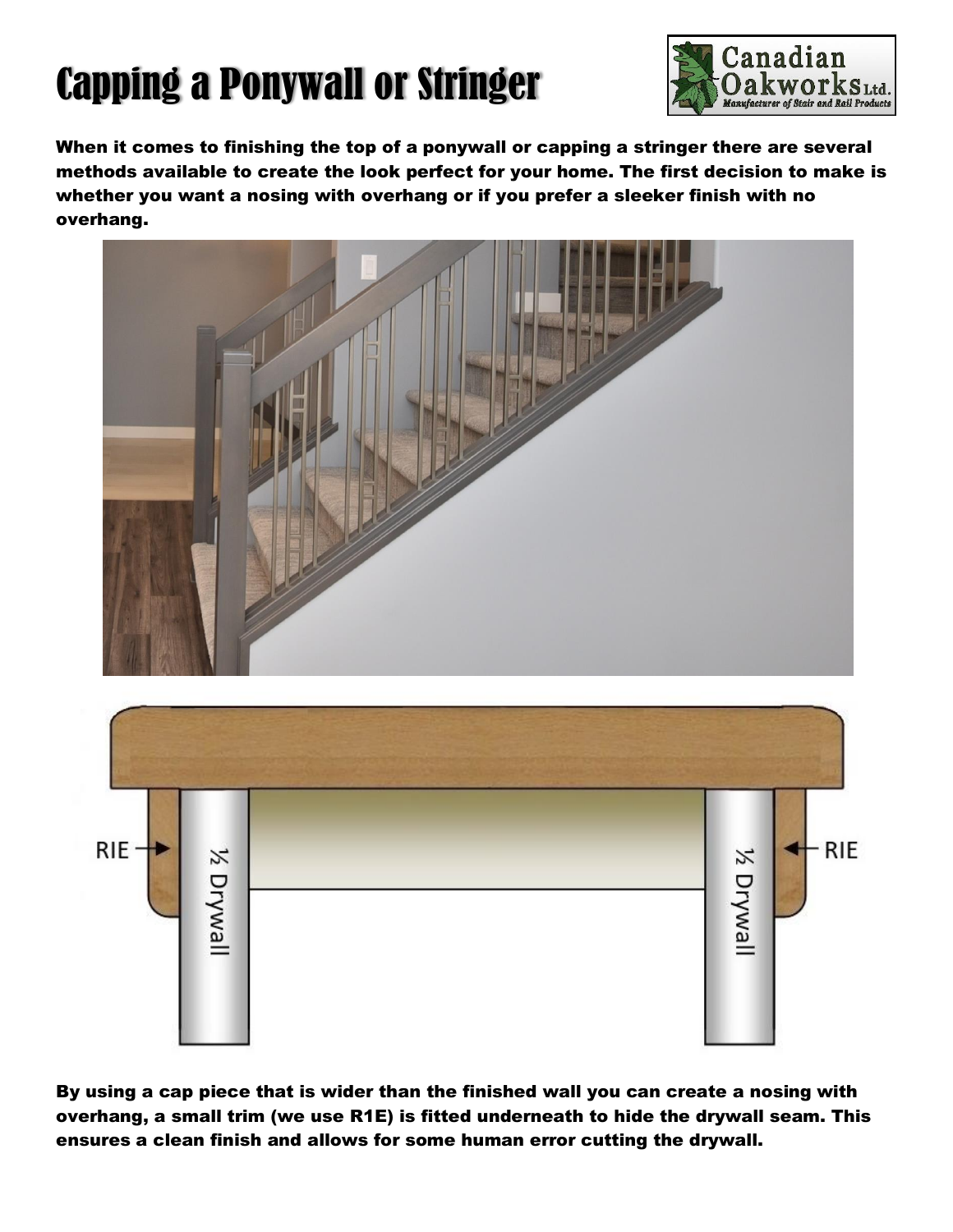## Capping a Ponywall or Stringer



When it comes to finishing the top of a ponywall or capping a stringer there are several methods available to create the look perfect for your home. The first decision to make is whether you want a nosing with overhang or if you prefer a sleeker finish with no overhang.





By using a cap piece that is wider than the finished wall you can create a nosing with overhang, a small trim (we use R1E) is fitted underneath to hide the drywall seam. This ensures a clean finish and allows for some human error cutting the drywall.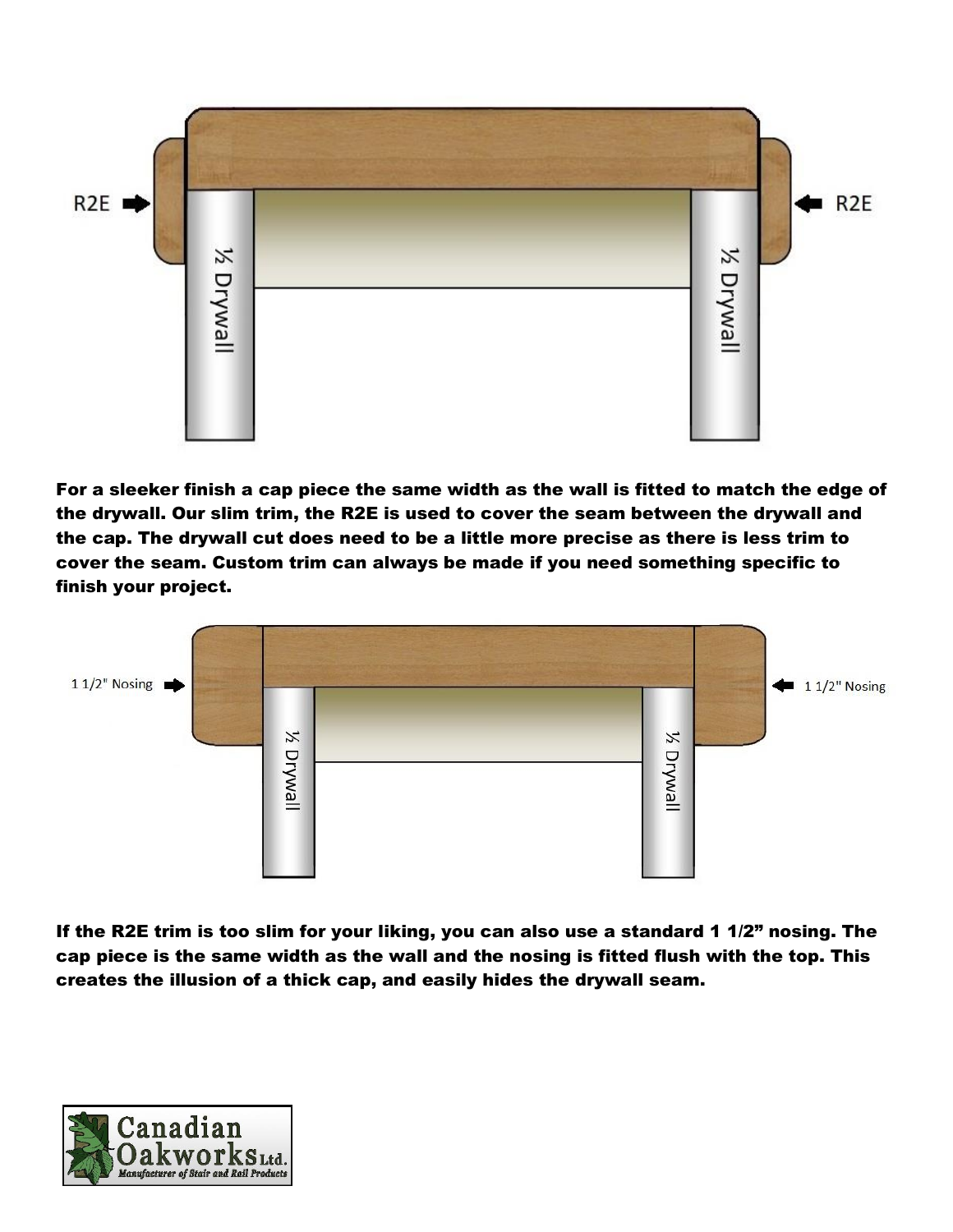

For a sleeker finish a cap piece the same width as the wall is fitted to match the edge of the drywall. Our slim trim, the R2E is used to cover the seam between the drywall and the cap. The drywall cut does need to be a little more precise as there is less trim to cover the seam. Custom trim can always be made if you need something specific to finish your project.



If the R2E trim is too slim for your liking, you can also use a standard 1 1/2" nosing. The cap piece is the same width as the wall and the nosing is fitted flush with the top. This creates the illusion of a thick cap, and easily hides the drywall seam.

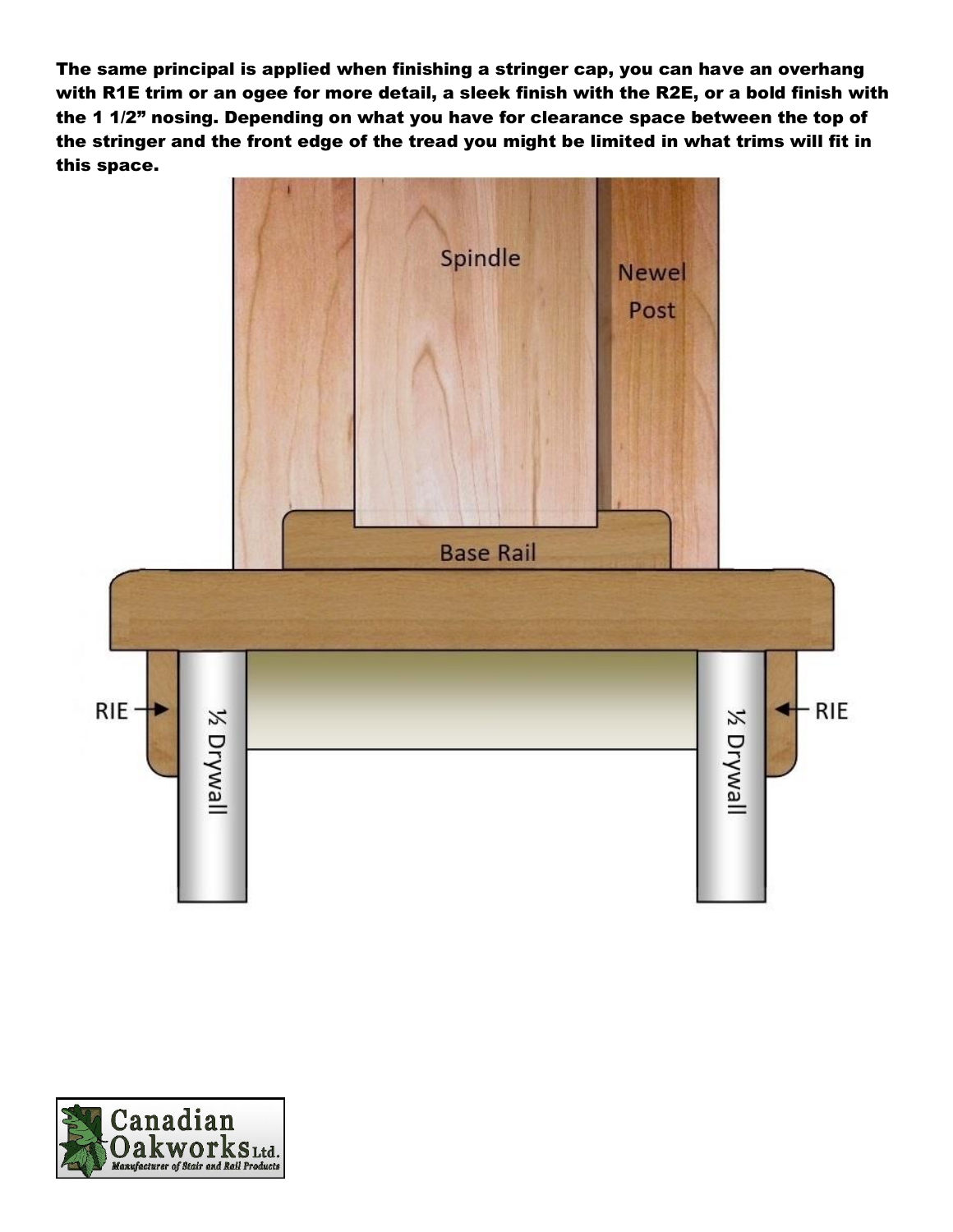The same principal is applied when finishing a stringer cap, you can have an overhang with R1E trim or an ogee for more detail, a sleek finish with the R2E, or a bold finish with the 1 1/2" nosing. Depending on what you have for clearance space between the top of the stringer and the front edge of the tread you might be limited in what trims will fit in this space.